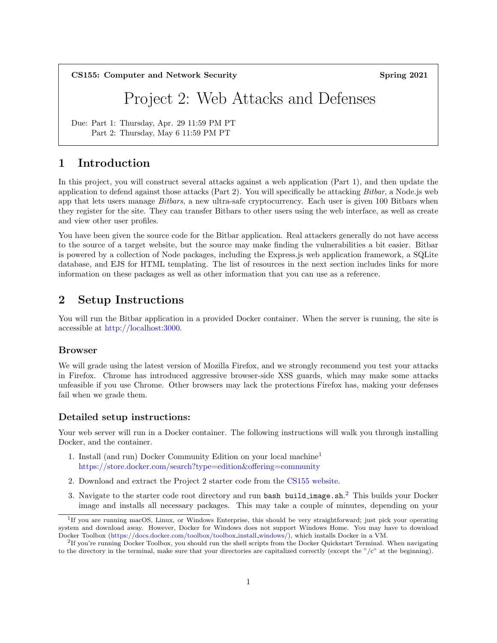CS155: Computer and Network Security Spring 2021

# Project 2: Web Attacks and Defenses

Due: Part 1: Thursday, Apr. 29 11:59 PM PT Part 2: Thursday, May 6 11:59 PM PT

# 1 Introduction

In this project, you will construct several attacks against a web application (Part 1), and then update the application to defend against those attacks (Part 2). You will specifically be attacking Bitbar, a Node.js web app that lets users manage *Bitbars*, a new ultra-safe cryptocurrency. Each user is given 100 Bitbars when they register for the site. They can transfer Bitbars to other users using the web interface, as well as create and view other user profiles.

You have been given the source code for the Bitbar application. Real attackers generally do not have access to the source of a target website, but the source may make finding the vulnerabilities a bit easier. Bitbar is powered by a collection of Node packages, including the Express.js web application framework, a SQLite database, and EJS for HTML templating. The list of resources in the next section includes links for more information on these packages as well as other information that you can use as a reference.

# 2 Setup Instructions

You will run the Bitbar application in a provided Docker container. When the server is running, the site is accessible at [http://localhost:3000.](http://localhost:3000)

### Browser

We will grade using the latest version of Mozilla Firefox, and we strongly recommend you test your attacks in Firefox. Chrome has introduced aggressive browser-side XSS guards, which may make some attacks unfeasible if you use Chrome. Other browsers may lack the protections Firefox has, making your defenses fail when we grade them.

### Detailed setup instructions:

Your web server will run in a Docker container. The following instructions will walk you through installing Docker, and the container.

- 1. Install (and run) Docker Community Edition on your local machine[1](#page-0-0) <https://store.docker.com/search?type=edition&offering=community>
- 2. Download and extract the Project 2 starter code from the [CS155 website.](https://cs.stanford.edu)
- 3. Navigate to the starter code root directory and run bash build image.sh.<sup>[2](#page-0-1)</sup> This builds your Docker image and installs all necessary packages. This may take a couple of minutes, depending on your

<span id="page-0-0"></span><sup>&</sup>lt;sup>1</sup>If you are running macOS, Linux, or Windows Enterprise, this should be very straightforward; just pick your operating system and download away. However, Docker for Windows does not support Windows Home. You may have to download Docker Toolbox [\(https://docs.docker.com/toolbox/toolbox](https://docs.docker.com/toolbox/toolbox_install_windows/) install windows/), which installs Docker in a VM.

<span id="page-0-1"></span><sup>&</sup>lt;sup>2</sup>If you're running Docker Toolbox, you should run the shell scripts from the Docker Quickstart Terminal. When navigating to the directory in the terminal, make sure that your directories are capitalized correctly (except the "/c" at the beginning).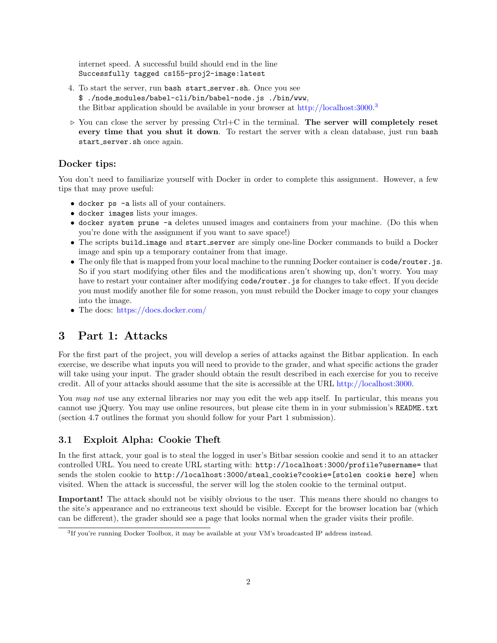internet speed. A successful build should end in the line Successfully tagged cs155-proj2-image:latest

- 4. To start the server, run bash start\_server.sh. Once you see \$ ./node modules/babel-cli/bin/babel-node.js ./bin/www, the Bitbar application should be available in your browser at [http://localhost:3000.](http://localhost:3000)<sup>[3](#page-1-0)</sup>
- $\triangleright$  You can close the server by pressing Ctrl+C in the terminal. The server will completely reset every time that you shut it down. To restart the server with a clean database, just run bash start\_server.sh once again.

## Docker tips:

You don't need to familiarize yourself with Docker in order to complete this assignment. However, a few tips that may prove useful:

- docker ps -a lists all of your containers.
- docker images lists your images.
- docker system prune -a deletes unused images and containers from your machine. (Do this when you're done with the assignment if you want to save space!)
- The scripts build image and start server are simply one-line Docker commands to build a Docker image and spin up a temporary container from that image.
- The only file that is mapped from your local machine to the running Docker container is code/router. js. So if you start modifying other files and the modifications aren't showing up, don't worry. You may have to restart your container after modifying code/router.js for changes to take effect. If you decide you must modify another file for some reason, you must rebuild the Docker image to copy your changes into the image.
- The docs: <https://docs.docker.com/>

# 3 Part 1: Attacks

For the first part of the project, you will develop a series of attacks against the Bitbar application. In each exercise, we describe what inputs you will need to provide to the grader, and what specific actions the grader will take using your input. The grader should obtain the result described in each exercise for you to receive credit. All of your attacks should assume that the site is accessible at the URL [http://localhost:3000.](http://localhost:3000)

You *may not* use any external libraries nor may you edit the web app itself. In particular, this means you cannot use jQuery. You may use online resources, but please cite them in in your submission's README.txt (section 4.7 outlines the format you should follow for your Part 1 submission).

### 3.1 Exploit Alpha: Cookie Theft

In the first attack, your goal is to steal the logged in user's Bitbar session cookie and send it to an attacker controlled URL. You need to create URL starting with: http://localhost:3000/profile?username= that sends the stolen cookie to http://localhost:3000/steal\_cookie?cookie=[stolen cookie here] when visited. When the attack is successful, the server will log the stolen cookie to the terminal output.

Important! The attack should not be visibly obvious to the user. This means there should no changes to the site's appearance and no extraneous text should be visible. Except for the browser location bar (which can be different), the grader should see a page that looks normal when the grader visits their profile.

<span id="page-1-0"></span><sup>&</sup>lt;sup>3</sup>If you're running Docker Toolbox, it may be available at your VM's broadcasted IP address instead.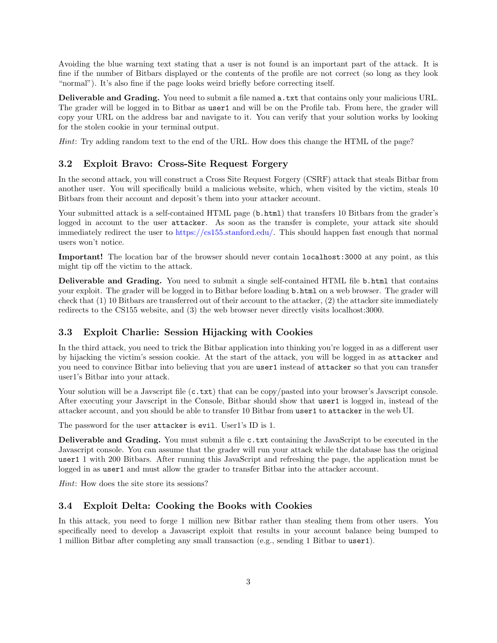Avoiding the blue warning text stating that a user is not found is an important part of the attack. It is fine if the number of Bitbars displayed or the contents of the profile are not correct (so long as they look "normal"). It's also fine if the page looks weird briefly before correcting itself.

Deliverable and Grading. You need to submit a file named a.txt that contains only your malicious URL. The grader will be logged in to Bitbar as user1 and will be on the Profile tab. From here, the grader will copy your URL on the address bar and navigate to it. You can verify that your solution works by looking for the stolen cookie in your terminal output.

Hint: Try adding random text to the end of the URL. How does this change the HTML of the page?

### 3.2 Exploit Bravo: Cross-Site Request Forgery

In the second attack, you will construct a Cross Site Request Forgery (CSRF) attack that steals Bitbar from another user. You will specifically build a malicious website, which, when visited by the victim, steals 10 Bitbars from their account and deposit's them into your attacker account.

Your submitted attack is a self-contained HTML page (b.html) that transfers 10 Bitbars from the grader's logged in account to the user attacker. As soon as the transfer is complete, your attack site should immediately redirect the user to [https://cs155.stanford.edu/.](https://cs155.stanford.edu/) This should happen fast enough that normal users won't notice.

Important! The location bar of the browser should never contain localhost:3000 at any point, as this might tip off the victim to the attack.

Deliverable and Grading. You need to submit a single self-contained HTML file b.html that contains your exploit. The grader will be logged in to Bitbar before loading b.html on a web browser. The grader will check that (1) 10 Bitbars are transferred out of their account to the attacker, (2) the attacker site immediately redirects to the CS155 website, and (3) the web browser never directly visits localhost:3000.

### 3.3 Exploit Charlie: Session Hijacking with Cookies

In the third attack, you need to trick the Bitbar application into thinking you're logged in as a different user by hijacking the victim's session cookie. At the start of the attack, you will be logged in as attacker and you need to convince Bitbar into believing that you are user1 instead of attacker so that you can transfer user1's Bitbar into your attack.

Your solution will be a Javscript file  $(c.txt)$  that can be copy/pasted into your browser's Javscript console. After executing your Javscript in the Console, Bitbar should show that user1 is logged in, instead of the attacker account, and you should be able to transfer 10 Bitbar from user1 to attacker in the web UI.

The password for the user attacker is evil. User1's ID is 1.

Deliverable and Grading. You must submit a file c.txt containing the JavaScript to be executed in the Javascript console. You can assume that the grader will run your attack while the database has the original user1 1 with 200 Bitbars. After running this JavaScript and refreshing the page, the application must be logged in as user1 and must allow the grader to transfer Bitbar into the attacker account.

Hint: How does the site store its sessions?

### 3.4 Exploit Delta: Cooking the Books with Cookies

In this attack, you need to forge 1 million new Bitbar rather than stealing them from other users. You specifically need to develop a Javascript exploit that results in your account balance being bumped to 1 million Bitbar after completing any small transaction (e.g., sending 1 Bitbar to user1).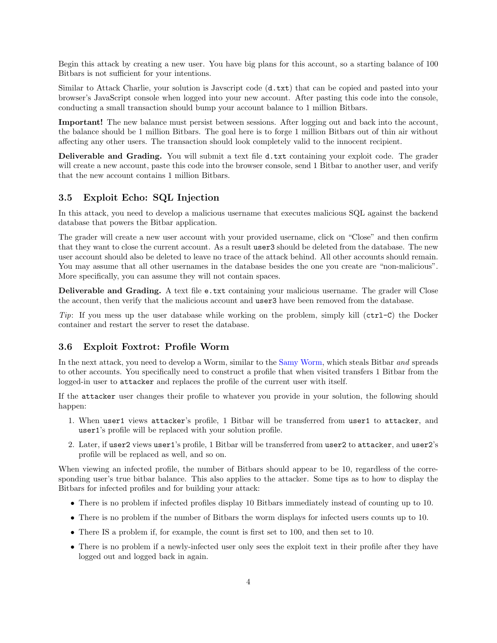Begin this attack by creating a new user. You have big plans for this account, so a starting balance of 100 Bitbars is not sufficient for your intentions.

Similar to Attack Charlie, your solution is Javscript code (d.txt) that can be copied and pasted into your browser's JavaScript console when logged into your new account. After pasting this code into the console, conducting a small transaction should bump your account balance to 1 million Bitbars.

Important! The new balance must persist between sessions. After logging out and back into the account, the balance should be 1 million Bitbars. The goal here is to forge 1 million Bitbars out of thin air without affecting any other users. The transaction should look completely valid to the innocent recipient.

Deliverable and Grading. You will submit a text file d.txt containing your exploit code. The grader will create a new account, paste this code into the browser console, send 1 Bitbar to another user, and verify that the new account contains 1 million Bitbars.

### 3.5 Exploit Echo: SQL Injection

In this attack, you need to develop a malicious username that executes malicious SQL against the backend database that powers the Bitbar application.

The grader will create a new user account with your provided username, click on "Close" and then confirm that they want to close the current account. As a result user3 should be deleted from the database. The new user account should also be deleted to leave no trace of the attack behind. All other accounts should remain. You may assume that all other usernames in the database besides the one you create are "non-malicious". More specifically, you can assume they will not contain spaces.

Deliverable and Grading. A text file e.txt containing your malicious username. The grader will Close the account, then verify that the malicious account and user3 have been removed from the database.

Tip: If you mess up the user database while working on the problem, simply kill  $(\text{ctrl}-\text{C})$  the Docker container and restart the server to reset the database.

### 3.6 Exploit Foxtrot: Profile Worm

In the next attack, you need to develop a Worm, similar to the [Samy Worm,](https://en.wikipedia.org/wiki/Samy_(computer_worm)) which steals Bitbar and spreads to other accounts. You specifically need to construct a profile that when visited transfers 1 Bitbar from the logged-in user to attacker and replaces the profile of the current user with itself.

If the attacker user changes their profile to whatever you provide in your solution, the following should happen:

- 1. When user1 views attacker's profile, 1 Bitbar will be transferred from user1 to attacker, and user1's profile will be replaced with your solution profile.
- 2. Later, if user2 views user1's profile, 1 Bitbar will be transferred from user2 to attacker, and user2's profile will be replaced as well, and so on.

When viewing an infected profile, the number of Bitbars should appear to be 10, regardless of the corresponding user's true bitbar balance. This also applies to the attacker. Some tips as to how to display the Bitbars for infected profiles and for building your attack:

- There is no problem if infected profiles display 10 Bitbars immediately instead of counting up to 10.
- There is no problem if the number of Bitbars the worm displays for infected users counts up to 10.
- There IS a problem if, for example, the count is first set to 100, and then set to 10.
- There is no problem if a newly-infected user only sees the exploit text in their profile after they have logged out and logged back in again.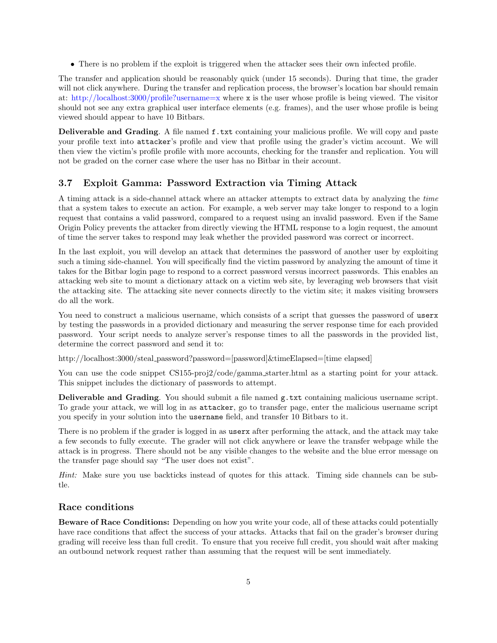• There is no problem if the exploit is triggered when the attacker sees their own infected profile.

The transfer and application should be reasonably quick (under 15 seconds). During that time, the grader will not click anywhere. During the transfer and replication process, the browser's location bar should remain at: <http://localhost:3000/profile?username=x> where x is the user whose profile is being viewed. The visitor should not see any extra graphical user interface elements (e.g. frames), and the user whose profile is being viewed should appear to have 10 Bitbars.

Deliverable and Grading. A file named f.txt containing your malicious profile. We will copy and paste your profile text into attacker's profile and view that profile using the grader's victim account. We will then view the victim's profile profile with more accounts, checking for the transfer and replication. You will not be graded on the corner case where the user has no Bitbar in their account.

# 3.7 Exploit Gamma: Password Extraction via Timing Attack

A timing attack is a side-channel attack where an attacker attempts to extract data by analyzing the time that a system takes to execute an action. For example, a web server may take longer to respond to a login request that contains a valid password, compared to a request using an invalid password. Even if the Same Origin Policy prevents the attacker from directly viewing the HTML response to a login request, the amount of time the server takes to respond may leak whether the provided password was correct or incorrect.

In the last exploit, you will develop an attack that determines the password of another user by exploiting such a timing side-channel. You will specifically find the victim password by analyzing the amount of time it takes for the Bitbar login page to respond to a correct password versus incorrect passwords. This enables an attacking web site to mount a dictionary attack on a victim web site, by leveraging web browsers that visit the attacking site. The attacking site never connects directly to the victim site; it makes visiting browsers do all the work.

You need to construct a malicious username, which consists of a script that guesses the password of userx by testing the passwords in a provided dictionary and measuring the server response time for each provided password. Your script needs to analyze server's response times to all the passwords in the provided list, determine the correct password and send it to:

http://localhost:3000/steal\_password?password=[password]&timeElapsed=[time elapsed]

You can use the code snippet CS155-proj2/code/gamma\_starter.html as a starting point for your attack. This snippet includes the dictionary of passwords to attempt.

Deliverable and Grading. You should submit a file named g.txt containing malicious username script. To grade your attack, we will log in as attacker, go to transfer page, enter the malicious username script you specify in your solution into the username field, and transfer 10 Bitbars to it.

There is no problem if the grader is logged in as userx after performing the attack, and the attack may take a few seconds to fully execute. The grader will not click anywhere or leave the transfer webpage while the attack is in progress. There should not be any visible changes to the website and the blue error message on the transfer page should say "The user does not exist".

Hint: Make sure you use backticks instead of quotes for this attack. Timing side channels can be subtle.

# Race conditions

Beware of Race Conditions: Depending on how you write your code, all of these attacks could potentially have race conditions that affect the success of your attacks. Attacks that fail on the grader's browser during grading will receive less than full credit. To ensure that you receive full credit, you should wait after making an outbound network request rather than assuming that the request will be sent immediately.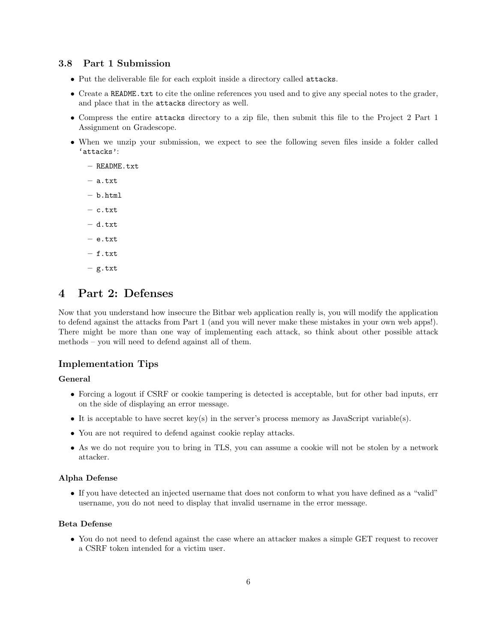### 3.8 Part 1 Submission

- Put the deliverable file for each exploit inside a directory called attacks.
- Create a README.txt to cite the online references you used and to give any special notes to the grader, and place that in the attacks directory as well.
- Compress the entire attacks directory to a zip file, then submit this file to the Project 2 Part 1 Assignment on Gradescope.
- When we unzip your submission, we expect to see the following seven files inside a folder called 'attacks':
	- README.txt
	- a.txt
	- b.html
	- c.txt
	- d.txt
	- e.txt
	- f.txt
	- g.txt

# 4 Part 2: Defenses

Now that you understand how insecure the Bitbar web application really is, you will modify the application to defend against the attacks from Part 1 (and you will never make these mistakes in your own web apps!). There might be more than one way of implementing each attack, so think about other possible attack methods – you will need to defend against all of them.

### Implementation Tips

#### General

- Forcing a logout if CSRF or cookie tampering is detected is acceptable, but for other bad inputs, err on the side of displaying an error message.
- It is acceptable to have secret key(s) in the server's process memory as JavaScript variable(s).
- You are not required to defend against cookie replay attacks.
- As we do not require you to bring in TLS, you can assume a cookie will not be stolen by a network attacker.

### Alpha Defense

• If you have detected an injected username that does not conform to what you have defined as a "valid" username, you do not need to display that invalid username in the error message.

### Beta Defense

• You do not need to defend against the case where an attacker makes a simple GET request to recover a CSRF token intended for a victim user.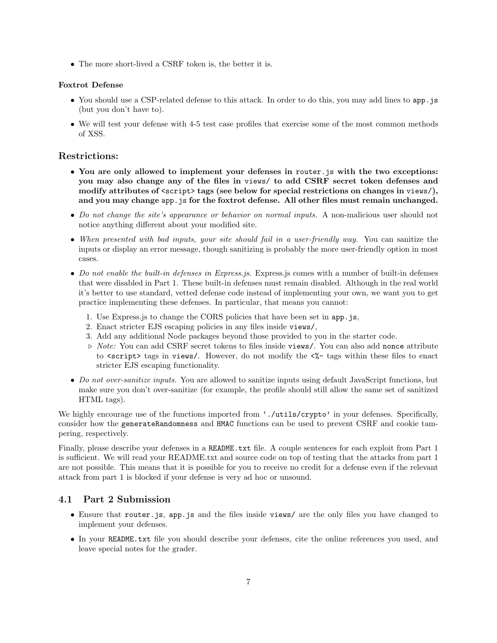• The more short-lived a CSRF token is, the better it is.

### Foxtrot Defense

- You should use a CSP-related defense to this attack. In order to do this, you may add lines to app. is (but you don't have to).
- We will test your defense with 4-5 test case profiles that exercise some of the most common methods of XSS.

### Restrictions:

- You are only allowed to implement your defenses in router is with the two exceptions: you may also change any of the files in views/ to add CSRF secret token defenses and modify attributes of  $\langle \text{script} \rangle$  tags (see below for special restrictions on changes in views/), and you may change app.js for the foxtrot defense. All other files must remain unchanged.
- Do not change the site's appearance or behavior on normal inputs. A non-malicious user should not notice anything different about your modified site.
- When presented with bad inputs, your site should fail in a user-friendly way. You can sanitize the inputs or display an error message, though sanitizing is probably the more user-friendly option in most cases.
- Do not enable the built-in defenses in Express.js. Express.js comes with a number of built-in defenses that were disabled in Part 1. These built-in defenses must remain disabled. Although in the real world it's better to use standard, vetted defense code instead of implementing your own, we want you to get practice implementing these defenses. In particular, that means you cannot:
	- 1. Use Express.js to change the CORS policies that have been set in app.js,
	- 2. Enact stricter EJS escaping policies in any files inside views/,
	- 3. Add any additional Node packages beyond those provided to you in the starter code.
	- $\triangleright$  *Note:* You can add CSRF secret tokens to files inside views/. You can also add nonce attribute to  $\langle$  script> tags in views/. However, do not modify the  $\langle\mathcal{E}\rangle$  tags within these files to enact stricter EJS escaping functionality.
- Do not over-sanitize inputs. You are allowed to sanitize inputs using default JavaScript functions, but make sure you don't over-sanitize (for example, the profile should still allow the same set of sanitized HTML tags).

We highly encourage use of the functions imported from './utils/crypto' in your defenses. Specifically, consider how the generateRandomness and HMAC functions can be used to prevent CSRF and cookie tampering, respectively.

Finally, please describe your defenses in a README.txt file. A couple sentences for each exploit from Part 1 is sufficient. We will read your README.txt and source code on top of testing that the attacks from part 1 are not possible. This means that it is possible for you to receive no credit for a defense even if the relevant attack from part 1 is blocked if your defense is very ad hoc or unsound.

### 4.1 Part 2 Submission

- Ensure that router.js, app.js and the files inside views/ are the only files you have changed to implement your defenses.
- In your README.txt file you should describe your defenses, cite the online references you used, and leave special notes for the grader.